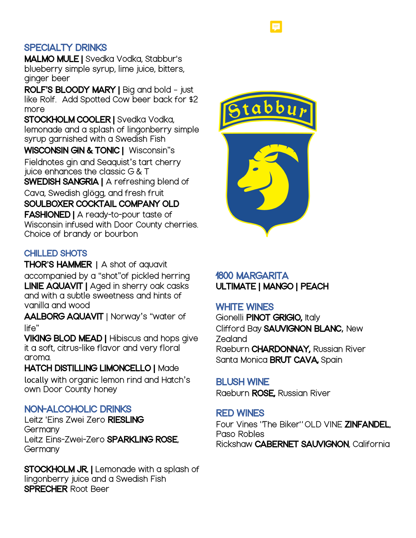# SPECIALTY DRINKS

MALMO MULE | Svedka Vodka, Stabbur's blueberry simple syrup, lime juice, bitters, ginger beer

ROLF**'**S BLOODY MARY | Big and bold – just like Rolf. Add Spotted Cow beer back for \$2 more

STOCKHOLM COOLER | Svedka Vodka, lemonade and a splash of lingonberry simple syrup garnished with a Swedish Fish

WISCONSIN GIN & TONIC | Wisconsin"s Fieldnotes gin and Seaquist's tart cherry juice enhances the classic G & T

SWEDISH SANGRIA | A refreshing blend of Cava, Swedish glögg, and fresh fruit

SOULBOXER COCKTAIL COMPANY OLD FASHIONED | A ready-to-pour taste of Wisconsin infused with Door County cherries. Choice of brandy or bourbon

# CHILLED SHOTS

THOR**'**S HAMMER **|** A shot of aquavit accompanied by a "shot"of pickled herring LINIE AQUAVIT | Aged in sherry oak casks and with a subtle sweetness and hints of vanilla and wood

AALBORG AQUAVIT | Norway's "water of life"

VIKING BLOD MEAD | Hibiscus and hops give it a soft, citrus-like flavor and very floral aroma.

HATCH DISTILLING LIMONCELLO | Made locally with organic lemon rind and Hatch's own Door County honey

# NON-ALCOHOLIC DRINKS

Leitz 'Eins Zwei Zero RIESLING **Germany** Leitz Eins-Zwei-Zero **SPARKLING ROSE Germany** 

**STOCKHOLM JR.** | Lemonade with a splash of lingonberry juice and a Swedish Fish SPRECHER Root Beer



# 1800 MARGARITA ULTIMATE | MANGO | PEACH

# WHITE WINES

Gionelli PINOT GRIGIO, Italy Clifford Bay SAUVIGNON BLANC, New Zealand Raeburn CHARDONNAY, Russian River Santa Monica BRUT CAVA, Spain

#### BLUSH WINE

Raeburn ROSE, Russian River

#### RED WINES

Four Vines 'The Biker" OLD VINE ZINFANDEL, Paso Robles Rickshaw CABERNET SAUVIGNON, California